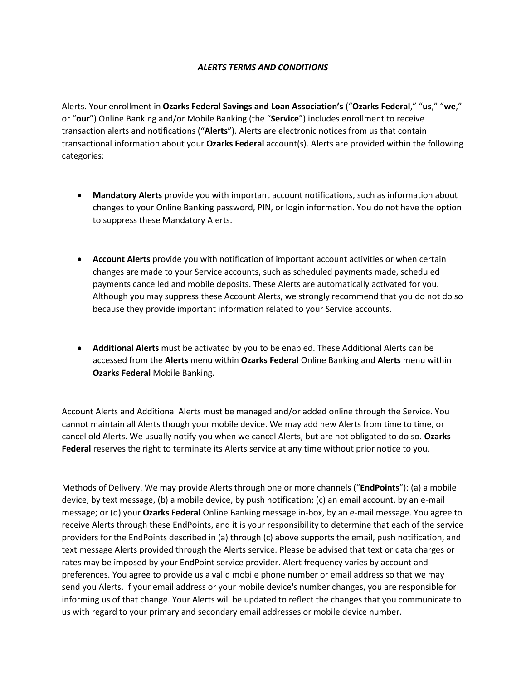## *ALERTS TERMS AND CONDITIONS*

Alerts. Your enrollment in **Ozarks Federal Savings and Loan Association's** ("**Ozarks Federal**," "**us**," "**we**," or "**our**") Online Banking and/or Mobile Banking (the "**Service**") includes enrollment to receive transaction alerts and notifications ("**Alerts**"). Alerts are electronic notices from us that contain transactional information about your **Ozarks Federal** account(s). Alerts are provided within the following categories:

- **Mandatory Alerts** provide you with important account notifications, such as information about changes to your Online Banking password, PIN, or login information. You do not have the option to suppress these Mandatory Alerts.
- **Account Alerts** provide you with notification of important account activities or when certain changes are made to your Service accounts, such as scheduled payments made, scheduled payments cancelled and mobile deposits. These Alerts are automatically activated for you. Although you may suppress these Account Alerts, we strongly recommend that you do not do so because they provide important information related to your Service accounts.
- **Additional Alerts** must be activated by you to be enabled. These Additional Alerts can be accessed from the **Alerts** menu within **Ozarks Federal** Online Banking and **Alerts** menu within **Ozarks Federal** Mobile Banking.

Account Alerts and Additional Alerts must be managed and/or added online through the Service. You cannot maintain all Alerts though your mobile device. We may add new Alerts from time to time, or cancel old Alerts. We usually notify you when we cancel Alerts, but are not obligated to do so. **Ozarks Federal** reserves the right to terminate its Alerts service at any time without prior notice to you.

Methods of Delivery. We may provide Alerts through one or more channels ("**EndPoints**"): (a) a mobile device, by text message, (b) a mobile device, by push notification; (c) an email account, by an e-mail message; or (d) your **Ozarks Federal** Online Banking message in-box, by an e-mail message. You agree to receive Alerts through these EndPoints, and it is your responsibility to determine that each of the service providers for the EndPoints described in (a) through (c) above supports the email, push notification, and text message Alerts provided through the Alerts service. Please be advised that text or data charges or rates may be imposed by your EndPoint service provider. Alert frequency varies by account and preferences. You agree to provide us a valid mobile phone number or email address so that we may send you Alerts. If your email address or your mobile device's number changes, you are responsible for informing us of that change. Your Alerts will be updated to reflect the changes that you communicate to us with regard to your primary and secondary email addresses or mobile device number.